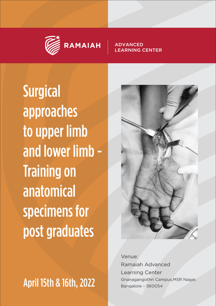

#### **ADVANCED NING CENTER**

**Surgical** approaches to upper limb and lower limb - Training on anatomical specimens for post graduates





Venue: Ramaiah Advanced Learning Center Gnanagangothri Campus,MSR Nagar, Bangalore – 560054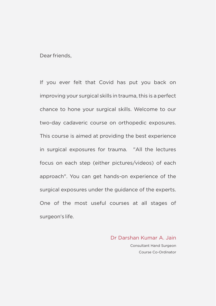Dear friends,

If you ever felt that Covid has put you back on improving your surgical skills in trauma, this is a perfect chance to hone your surgical skills. Welcome to our two-day cadaveric course on orthopedic exposures. This course is aimed at providing the best experience in surgical exposures for trauma. "All the lectures focus on each step (either pictures/videos) of each approach". You can get hands-on experience of the surgical exposures under the guidance of the experts. One of the most useful courses at all stages of surgeon's life.

Dr Darshan Kumar A. Jain

Consultant Hand Surgeon Course Co-Ordinator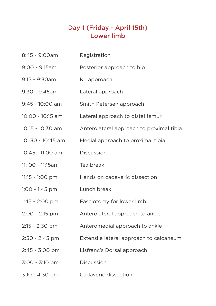## Day 1 (Friday - April 15th) Lower limb

- 8:45 9:00am Registration 9:00 - 9:15am Posterior approach to hip 9:15 - 9:30am KL approach 9:30 - 9:45am Lateral approach 9:45 - 10:00 am Smith Petersen approach 10:00 - 10:15 am Lateral approach to distal femur 10:15 - 10:30 am Anterolateral approach to proximal tibia 10: 30 - 10:45 am Medial approach to proximal tibia 10:45 - 11:00 am Discussion 11: 00 - 11:15am Tea break 11:15 - 1:00 pm Hands on cadaveric dissection 1:00 - 1:45 pm Lunch break 1:45 - 2:00 pm Fasciotomy for lower limb 2:00 - 2:15 pm Anterolateral approach to ankle 2:15 - 2:30 pm Anteromedial approach to ankle 2:30 - 2:45 pm Extensile lateral approach to calcaneum 2:45 - 3:00 pm Lisfranc's Dorsal approach 3:00 - 3:10 pm Discussion
- 3:10 4:30 pm Cadaveric dissection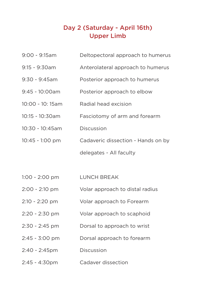## Day 2 (Saturday - April 16th) Upper Limb

9:15 - 9:30am Anterolateral approach to humerus 9:30 - 9:45am Posterior approach to humerus 9:45 - 10:00am Posterior approach to elbow 10:00 - 10: 15am Radial head excision 10:15 - 10:30am Fasciotomy of arm and forearm

9:00 - 9:15am Deltopectoral approach to humerus

- 10:30 10:45am Discussion
- 10:45 1:00 pm Cadaveric dissection Hands on by

delegates - All faculty

- 1:00 2:00 pm LUNCH BREAK
- 2:00 2:10 pm Volar approach to distal radius
- 2:10 2:20 pm Volar approach to Forearm
- 2:20 2:30 pm Volar approach to scaphoid
- 2:30 2:45 pm Dorsal to approach to wrist
- 2:45 3:00 pm Dorsal approach to forearm
- 2:40 2:45pm Discussion
- 2:45 4:30pm Cadaver dissection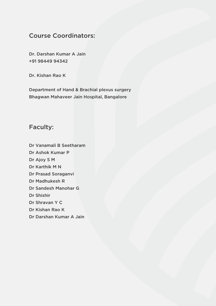#### Course Coordinators:

Dr. Darshan Kumar A Jain +91 98449 94342

Dr. Kishan Rao K

Department of Hand & Brachial plexus surgery Bhagwan Mahaveer Jain Hospital, Bangalore

#### Faculty:

- Dr Vanamali B Seetharam
- Dr Ashok Kumar P
- Dr Ajoy S M
- Dr Karthik M N
- Dr Prasad Soraganvi
- Dr Madhukesh R
- Dr Sandesh Manohar G
- Dr Shishir
- Dr Shravan Y C
- Dr Kishan Rao K
- Dr Darshan Kumar A Jain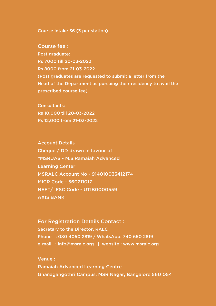#### Course intake 36 (3 per station)

Course fee : Post graduate: Rs 7000 till 20-03-2022 Rs 8000 from 21-03-2022 (Post graduates are requested to submit a letter from the Head of the Department as pursuing their residency to avail the prescribed course fee)

Consultants: Rs 10,000 till 20-03-2022 Rs 12,000 from 21-03-2022

Account Details Cheque / DD drawn in favour of "MSRUAS - M.S.Ramaiah Advanced Learning Center" MSRALC Account No - 914010033412174 MICR Code - 560211017 NEFT/ IFSC Code - UTIB0000559 AXIS BANK

For Registration Details Contact : Secretary to the Director, RALC Phone : 080 4050 2819 / WhatsApp: 740 650 2819 e-mail : info@msralc.org | website : www.msralc.org

Venue : Ramaiah Advanced Learning Centre Gnanagangothri Campus, MSR Nagar, Bangalore 560 054